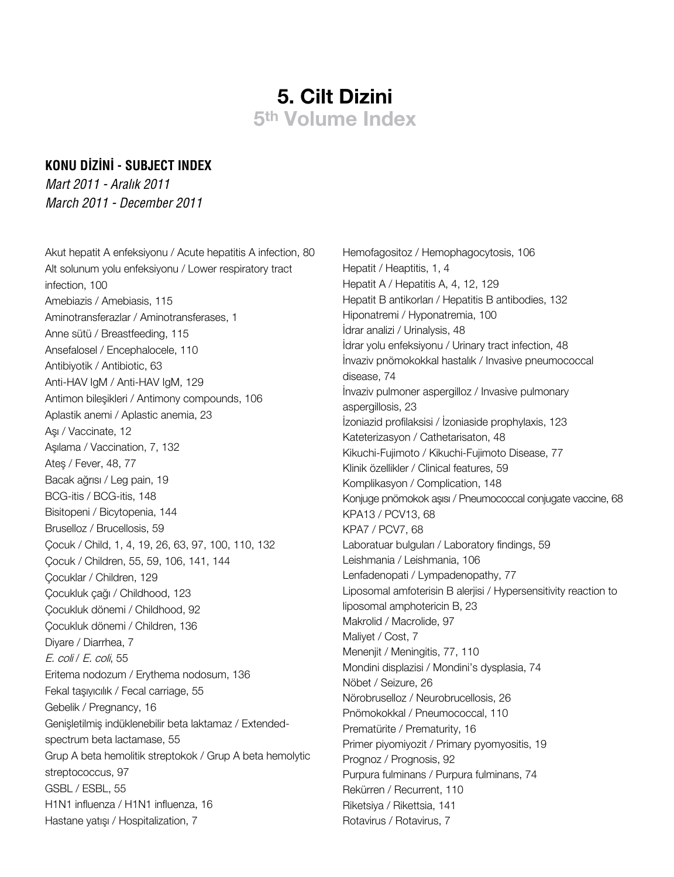## **5. Cilt Dizini 5th Volume Index**

## **KONU DİZİNİ - SUBJECT INDEX**

*Mart 2011 - Aralık 2011 March 2011 - December 2011*

Akut hepatit A enfeksiyonu / Acute hepatitis A infection, 80 Alt solunum yolu enfeksiyonu / Lower respiratory tract infection, 100 Amebiazis / Amebiasis, 115 Aminotransferazlar / Aminotransferases, 1 Anne sütü / Breastfeeding, 115 Ansefalosel / Encephalocele, 110 Antibiyotik / Antibiotic, 63 Anti-HAV IgM / Anti-HAV IgM, 129 Antimon bileşikleri / Antimony compounds, 106 Aplastik anemi / Aplastic anemia, 23 Aşı / Vaccinate, 12 Aşılama / Vaccination, 7, 132 Ateş / Fever, 48, 77 Bacak ağrısı / Leg pain, 19 BCG-itis / BCG-itis, 148 Bisitopeni / Bicytopenia, 144 Bruselloz / Brucellosis, 59 Çocuk / Child, 1, 4, 19, 26, 63, 97, 100, 110, 132 Çocuk / Children, 55, 59, 106, 141, 144 Çocuklar / Children, 129 Çocukluk çağı / Childhood, 123 Çocukluk dönemi / Childhood, 92 Çocukluk dönemi / Children, 136 Diyare / Diarrhea, 7 E. coli / E. coli, 55 Eritema nodozum / Erythema nodosum, 136 Fekal taşıyıcılık / Fecal carriage, 55 Gebelik / Pregnancy, 16 Genişletilmiş indüklenebilir beta laktamaz / Extendedspectrum beta lactamase, 55 Grup A beta hemolitik streptokok / Grup A beta hemolytic streptococcus, 97 GSBL / ESBL, 55 H1N1 influenza / H1N1 influenza, 16 Hastane yatışı / Hospitalization, 7

Hemofagositoz / Hemophagocytosis, 106 Hepatit / Heaptitis, 1, 4 Hepatit A / Hepatitis A, 4, 12, 129 Hepatit B antikorları / Hepatitis B antibodies, 132 Hiponatremi / Hyponatremia, 100 İdrar analizi / Urinalysis, 48 İdrar yolu enfeksiyonu / Urinary tract infection, 48 İnvaziv pnömokokkal hastalık / Invasive pneumococcal disease, 74 İnvaziv pulmoner aspergilloz / Invasive pulmonary aspergillosis, 23 İzoniazid profilaksisi / İzoniaside prophylaxis, 123 Kateterizasyon / Cathetarisaton, 48 Kikuchi-Fujimoto / Kikuchi-Fujimoto Disease, 77 Klinik özellikler / Clinical features, 59 Komplikasyon / Complication, 148 Konjuge pnömokok aşısı / Pneumococcal conjugate vaccine, 68 KPA13 / PCV13, 68 KPA7 / PCV7, 68 Laboratuar bulguları / Laboratory findings, 59 Leishmania / Leishmania, 106 Lenfadenopati / Lympadenopathy, 77 Liposomal amfoterisin B alerjisi / Hypersensitivity reaction to liposomal amphotericin B, 23 Makrolid / Macrolide, 97 Maliyet / Cost, 7 Menenjit / Meningitis, 77, 110 Mondini displazisi / Mondini's dysplasia, 74 Nöbet / Seizure, 26 Nörobruselloz / Neurobrucellosis, 26 Pnömokokkal / Pneumococcal, 110 Prematürite / Prematurity, 16 Primer piyomiyozit / Primary pyomyositis, 19 Prognoz / Prognosis, 92 Purpura fulminans / Purpura fulminans, 74 Rekürren / Recurrent, 110 Riketsiya / Rikettsia, 141 Rotavirus / Rotavirus, 7